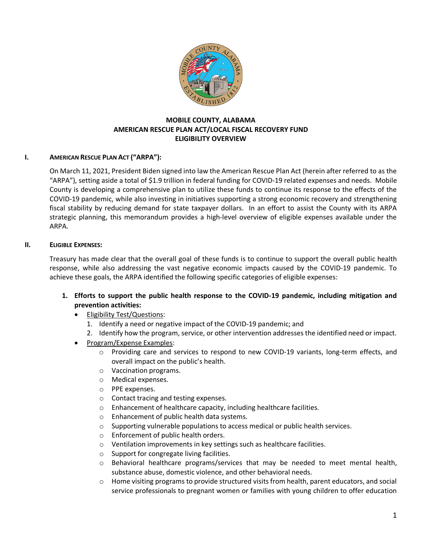

## **MOBILE COUNTY, ALABAMA AMERICAN RESCUE PLAN ACT/LOCAL FISCAL RECOVERY FUND ELIGIBILITY OVERVIEW**

## **I. AMERICAN RESCUE PLAN ACT ("ARPA"):**

On March 11, 2021, President Biden signed into law the American Rescue Plan Act (herein after referred to as the "ARPA"), setting aside a total of \$1.9 trillion in federal funding for COVID-19 related expenses and needs. Mobile County is developing a comprehensive plan to utilize these funds to continue its response to the effects of the COVID-19 pandemic, while also investing in initiatives supporting a strong economic recovery and strengthening fiscal stability by reducing demand for state taxpayer dollars. In an effort to assist the County with its ARPA strategic planning, this memorandum provides a high-level overview of eligible expenses available under the ARPA.

### **II. ELIGIBLE EXPENSES:**

Treasury has made clear that the overall goal of these funds is to continue to support the overall public health response, while also addressing the vast negative economic impacts caused by the COVID-19 pandemic. To achieve these goals, the ARPA identified the following specific categories of eligible expenses:

- **1. Efforts to support the public health response to the COVID-19 pandemic, including mitigation and prevention activities:**
	- Eligibility Test/Questions:
		- 1. Identify a need or negative impact of the COVID-19 pandemic; and
		- 2. Identify how the program, service, or other intervention addresses the identified need or impact.
	- Program/Expense Examples:
		- o Providing care and services to respond to new COVID-19 variants, long-term effects, and overall impact on the public's health.
		- o Vaccination programs.
		- o Medical expenses.
		- o PPE expenses.
		- o Contact tracing and testing expenses.
		- o Enhancement of healthcare capacity, including healthcare facilities.
		- o Enhancement of public health data systems.
		- o Supporting vulnerable populations to access medical or public health services.
		- o Enforcement of public health orders.
		- o Ventilation improvements in key settings such as healthcare facilities.
		- o Support for congregate living facilities.
		- $\circ$  Behavioral healthcare programs/services that may be needed to meet mental health, substance abuse, domestic violence, and other behavioral needs.
		- $\circ$  Home visiting programs to provide structured visits from health, parent educators, and social service professionals to pregnant women or families with young children to offer education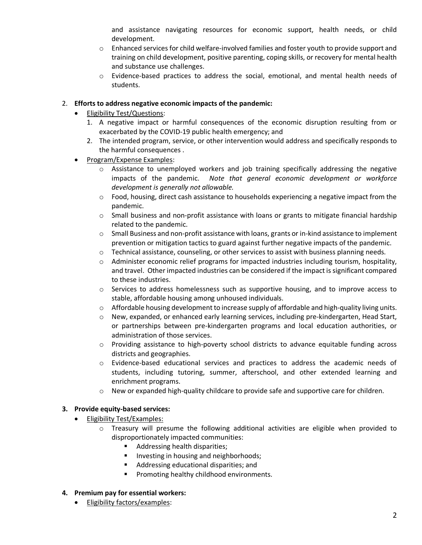and assistance navigating resources for economic support, health needs, or child development.

- $\circ$  Enhanced services for child welfare-involved families and foster youth to provide support and training on child development, positive parenting, coping skills, or recovery for mental health and substance use challenges.
- o Evidence-based practices to address the social, emotional, and mental health needs of students.

## 2. **Efforts to address negative economic impacts of the pandemic:**

- Eligibility Test/Questions:
	- 1. A negative impact or harmful consequences of the economic disruption resulting from or exacerbated by the COVID-19 public health emergency; and
	- 2. The intended program, service, or other intervention would address and specifically responds to the harmful consequences .
- Program/Expense Examples:
	- o Assistance to unemployed workers and job training specifically addressing the negative impacts of the pandemic. *Note that general economic development or workforce development is generally not allowable.*
	- o Food, housing, direct cash assistance to households experiencing a negative impact from the pandemic.
	- $\circ$  Small business and non-profit assistance with loans or grants to mitigate financial hardship related to the pandemic.
	- $\circ$  Small Business and non-profit assistance with loans, grants or in-kind assistance to implement prevention or mitigation tactics to guard against further negative impacts of the pandemic.
	- $\circ$  Technical assistance, counseling, or other services to assist with business planning needs.
	- $\circ$  Administer economic relief programs for impacted industries including tourism, hospitality, and travel. Other impacted industries can be considered if the impact is significant compared to these industries.
	- $\circ$  Services to address homelessness such as supportive housing, and to improve access to stable, affordable housing among unhoused individuals.
	- $\circ$  Affordable housing development to increase supply of affordable and high-quality living units.
	- $\circ$  New, expanded, or enhanced early learning services, including pre-kindergarten, Head Start, or partnerships between pre-kindergarten programs and local education authorities, or administration of those services.
	- o Providing assistance to high-poverty school districts to advance equitable funding across districts and geographies.
	- $\circ$  Evidence-based educational services and practices to address the academic needs of students, including tutoring, summer, afterschool, and other extended learning and enrichment programs.
	- $\circ$  New or expanded high-quality childcare to provide safe and supportive care for children.

# **3. Provide equity-based services:**

- Eligibility Test/Examples:
	- o Treasury will presume the following additional activities are eligible when provided to disproportionately impacted communities:
		- **Addressing health disparities;**
		- **Investing in housing and neighborhoods;**
		- Addressing educational disparities; and
		- Promoting healthy childhood environments.

## **4. Premium pay for essential workers:**

• Eligibility factors/examples: